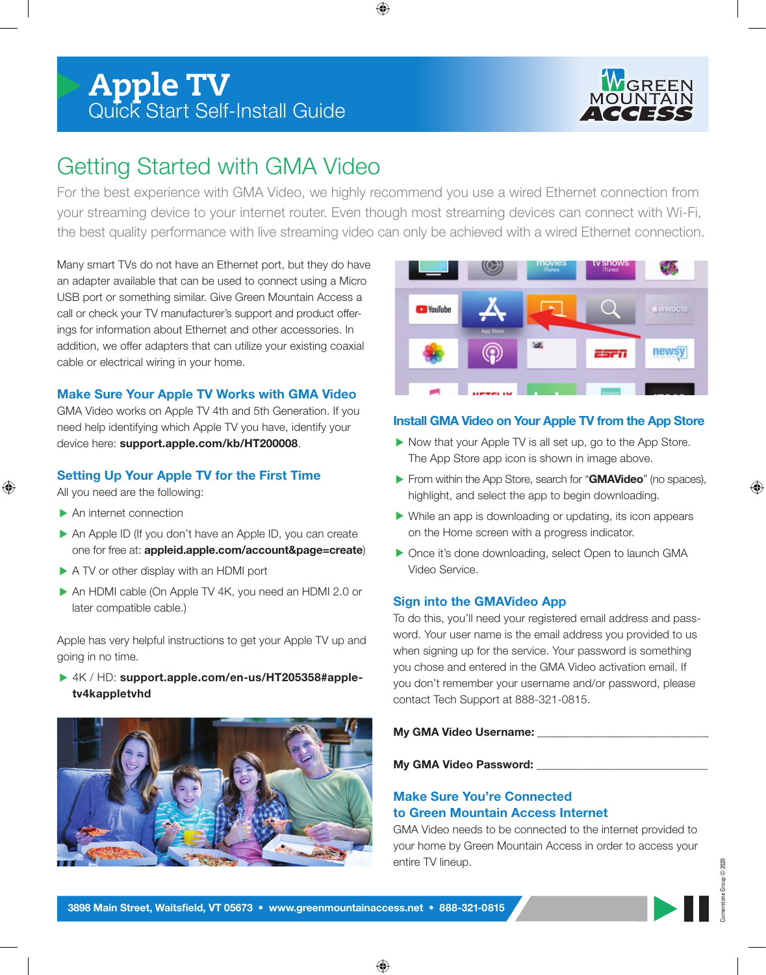

# Getting Started with GMA Video

For the best experience with GMA Video, we highly recommend you use a wired Ethernet connection from your streaming device to your internet router. Even though most streaming devices can connect with Wi-Fi, the best quality performance with live streaming video can only be achieved with a wired Ethernet connection.

Many smart TVs do not have an Ethernet port, but they do have an adapter available that can be used to connect using a Micro USB port or something similar. Give Green Mountain Access a call or check your TV manufacturer's support and product offerings for information about Ethernet and other accessories. In addition, we offer adapters that can utilize your existing coaxial cable or electrical wiring in your home.

### **Make Sure Your Apple TV Works with GMA Video**

GMA Video works on Apple TV 4th and 5th Generation. If you need help identifying which Apple TV you have, identify your device here: **support.apple.com/kb/HT200008**.

### **Setting Up Your Apple TV for the First Time**

All you need are the following:

- An internet connection
- An Apple ID (If you don't have an Apple ID, you can create one for free at: **appleid.apple.com/account&page=create**)
- A TV or other display with an HDMI port
- An HDMI cable (On Apple TV 4K, you need an HDMI 2.0 or later compatible cable.)

Apple has very helpful instructions to get your Apple TV up and going in no time.

 4K / HD: **support.apple.com/en-us/HT205358#appletv4kappletvhd**





### **Install GMA Video on Your Apple TV from the App Store**

- Now that your Apple TV is all set up, go to the App Store. The App Store app icon is shown in image above.
- From within the App Store, search for "**GMAVideo**" (no spaces), highlight, and select the app to begin downloading.
- While an app is downloading or updating, its icon appears on the Home screen with a progress indicator.
- ▶ Once it's done downloading, select Open to launch GMA Video Service.

### **Sign into the GMAVideo App**

To do this, you'll need your registered email address and password. Your user name is the email address you provided to us when signing up for the service. Your password is something you chose and entered in the GMA Video activation email. If you don't remember your username and/or password, please contact Tech Support at 888-321-0815.

**My GMA Video Username:** 

**My GMA Video Password:** \_\_\_\_\_\_\_\_\_\_\_\_\_\_\_\_\_\_\_\_\_\_\_\_\_\_\_\_\_\_

### **Make Sure You're Connected to Green Mountain Access Internet**

GMA Video needs to be connected to the internet provided to your home by Green Mountain Access in order to access your entire TV lineup.